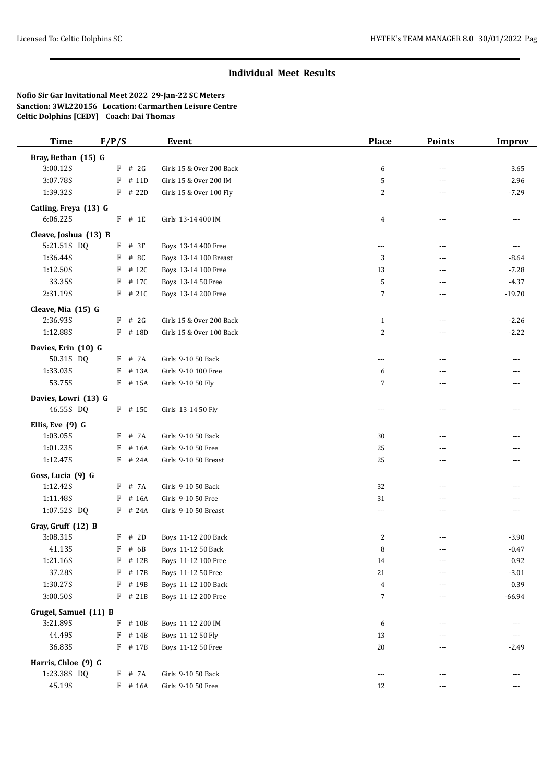## **Individual Meet Results**

## **Nofio Sir Gar Invitational Meet 2022 29-Jan-22 SC Meters Sanction: 3WL220156 Location: Carmarthen Leisure Centre Celtic Dolphins [CEDY] Coach: Dai Thomas**

| <b>Time</b>                          | F/P/S      | <b>Event</b>                                 | <b>Place</b>                     | <b>Points</b>  | <b>Improv</b>      |
|--------------------------------------|------------|----------------------------------------------|----------------------------------|----------------|--------------------|
| Bray, Bethan (15) G                  |            |                                              |                                  |                |                    |
| 3:00.12S                             | $F$ # 2G   | Girls 15 & Over 200 Back                     | 6                                | ---            | 3.65               |
| 3:07.78S                             | F<br># 11D | Girls 15 & Over 200 IM                       | 5                                | ---            | 2.96               |
| 1:39.32S                             | $F$ # 22D  | Girls 15 & Over 100 Fly                      | 2                                | ---            | $-7.29$            |
| Catling, Freya (13) G                |            |                                              |                                  |                |                    |
| 6:06.22S                             | $F$ # 1E   | Girls 13-14 400 IM                           | $\overline{4}$                   | ---            | $\cdots$           |
|                                      |            |                                              |                                  |                |                    |
| Cleave, Joshua (13) B<br>5:21.51S DQ | $F$ # 3F   |                                              |                                  |                |                    |
| 1:36.44S                             | F<br># 8C  | Boys 13-14 400 Free<br>Boys 13-14 100 Breast | ---<br>3                         | ---            | $\cdots$           |
| 1:12.50S                             | F<br># 12C | Boys 13-14 100 Free                          | 13                               | ---<br>---     | $-8.64$<br>$-7.28$ |
| 33.35S                               | F # 17C    | Boys 13-14 50 Free                           | 5                                | ---            | $-4.37$            |
| 2:31.19S                             | F # 21C    | Boys 13-14 200 Free                          | $\sqrt{ }$                       | ---            | $-19.70$           |
|                                      |            |                                              |                                  |                |                    |
| Cleave, Mia (15) G                   |            |                                              |                                  |                |                    |
| 2:36.93S                             | # 2G<br>F  | Girls 15 & Over 200 Back                     | $\mathbf{1}$                     | $\overline{a}$ | $-2.26$            |
| 1:12.88S                             | F # 18D    | Girls 15 & Over 100 Back                     | 2                                | ---            | $-2.22$            |
| Davies, Erin (10) G                  |            |                                              |                                  |                |                    |
| 50.31S DQ                            | F # 7A     | Girls 9-10 50 Back                           | ---                              | ---            | $- - -$            |
| 1:33.03S                             | F # 13A    | Girls 9-10 100 Free                          | 6                                | ---            | $---$              |
| 53.75S                               | F # 15A    | Girls 9-10 50 Fly                            | 7                                | ---            | $---$              |
| Davies, Lowri (13) G                 |            |                                              |                                  |                |                    |
| 46.55S DQ                            | $F$ # 15C  | Girls 13-14 50 Fly                           | $\overline{a}$                   | $\overline{a}$ | $- - -$            |
| Ellis, Eve (9) G                     |            |                                              |                                  |                |                    |
| 1:03.05S                             | F # 7A     | Girls 9-10 50 Back                           | 30                               | ---            |                    |
| 1:01.23S                             | # 16A<br>F | Girls 9-10 50 Free                           | 25                               | ---            |                    |
| 1:12.47S                             | F # 24A    | Girls 9-10 50 Breast                         | 25                               | $\overline{a}$ | ---                |
| Goss, Lucia (9) G                    |            |                                              |                                  |                |                    |
| 1:12.42S                             | F # 7A     | Girls 9-10 50 Back                           | 32                               | ---            |                    |
| 1:11.48S                             | # 16A<br>F | Girls 9-10 50 Free                           | 31                               | ---            |                    |
| 1:07.52S DQ                          | F # 24A    | Girls 9-10 50 Breast                         | ---                              | ---            | $- - -$            |
|                                      |            |                                              |                                  |                |                    |
| Gray, Gruff (12) B                   |            |                                              |                                  |                |                    |
| 3:08.31S                             | # 2D<br>F  | Boys 11-12 200 Back                          | $\overline{c}$                   |                | $-3.90$            |
| 41.13S                               | F # 6B     | Boys 11-12 50 Back                           | 8                                | $---$          | $-0.47$            |
| 1:21.16S                             | # 12B<br>F | Boys 11-12 100 Free                          | 14                               | ---            | 0.92               |
| 37.28S                               | # 17B<br>F | Boys 11-12 50 Free                           | 21                               |                | $-3.01$            |
| 1:30.27S<br>3:00.50S                 | F # 19B    | Boys 11-12 100 Back<br>Boys 11-12 200 Free   | $\overline{4}$<br>$\overline{7}$ | $\cdots$       | 0.39               |
|                                      | F # 21B    |                                              |                                  | ---            | $-66.94$           |
| Grugel, Samuel (11) B                |            |                                              |                                  |                |                    |
| 3:21.89S                             | F<br># 10B | Boys 11-12 200 IM                            | 6                                | ---            | $- - -$            |
| 44.49S                               | F # 14B    | Boys 11-12 50 Fly                            | 13                               | ---            | $\cdots$           |
| 36.83S                               | F # 17B    | Boys 11-12 50 Free                           | $20\,$                           | ---            | $-2.49$            |
| Harris, Chloe (9) G                  |            |                                              |                                  |                |                    |
| 1:23.38S DQ                          | F # 7A     | Girls 9-10 50 Back                           | ---                              | ---            | ---                |
| 45.19S                               | $F$ # 16A  | Girls 9-10 50 Free                           | 12                               | ---            | $\cdots$           |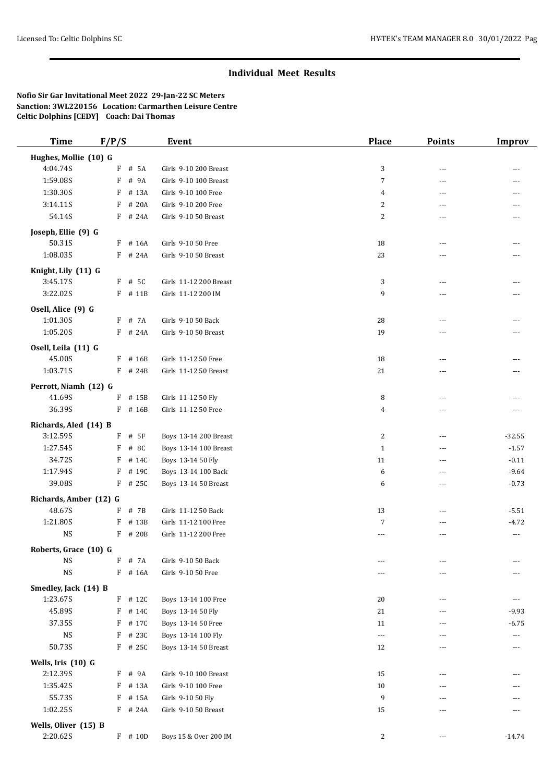## **Individual Meet Results**

**Nofio Sir Gar Invitational Meet 2022 29-Jan-22 SC Meters Sanction: 3WL220156 Location: Carmarthen Leisure Centre Celtic Dolphins [CEDY] Coach: Dai Thomas**

| <b>Time</b>            | F/P/S      | Event                  | <b>Place</b>             | <b>Points</b>  | <b>Improv</b> |
|------------------------|------------|------------------------|--------------------------|----------------|---------------|
| Hughes, Mollie (10) G  |            |                        |                          |                |               |
| 4:04.74S               | F # 5A     | Girls 9-10 200 Breast  | 3                        | ---            |               |
| 1:59.08S               | F<br># 9A  | Girls 9-10 100 Breast  | $\overline{7}$           | ---            | ---           |
| 1:30.30S               | F<br># 13A | Girls 9-10 100 Free    | 4                        | ---            | ---           |
| 3:14.11S               | # 20A<br>F | Girls 9-10 200 Free    | 2                        | $\overline{a}$ | ---           |
| 54.14S                 | $F$ # 24A  | Girls 9-10 50 Breast   | 2                        | ---            |               |
|                        |            |                        |                          |                |               |
| Joseph, Ellie (9) G    |            |                        |                          |                |               |
| 50.31S                 | # 16A<br>F | Girls 9-10 50 Free     | 18                       | ---            |               |
| 1:08.03S               | F # 24A    | Girls 9-10 50 Breast   | 23                       | ---            |               |
| Knight, Lily (11) G    |            |                        |                          |                |               |
| 3:45.17S               | $F$ # 5C   | Girls 11-12 200 Breast | 3                        | ---            |               |
| 3:22.02S               | F # 11B    | Girls 11-12 200 IM     | 9                        | ---            |               |
| Osell, Alice (9) G     |            |                        |                          |                |               |
| 1:01.30S               | F # 7A     | Girls 9-10 50 Back     | 28                       | $\overline{a}$ | $---$         |
| 1:05.20S               | $F$ # 24A  | Girls 9-10 50 Breast   | 19                       | ---            |               |
|                        |            |                        |                          |                |               |
| Osell, Leila (11) G    |            |                        |                          |                |               |
| 45.00S                 | $F$ # 16B  | Girls 11-12 50 Free    | 18                       | ---            |               |
| 1:03.71S               | $F$ # 24B  | Girls 11-12 50 Breast  | 21                       | ---            |               |
| Perrott, Niamh (12) G  |            |                        |                          |                |               |
| 41.69S                 | $F$ # 15B  | Girls 11-12 50 Fly     | 8                        | ---            |               |
| 36.39S                 | $F$ # 16B  | Girls 11-12 50 Free    | 4                        | ---            |               |
| Richards, Aled (14) B  |            |                        |                          |                |               |
| 3:12.59S               | $F$ # 5F   | Boys 13-14 200 Breast  | 2                        | ---            | $-32.55$      |
| 1:27.54S               | F<br># 8C  | Boys 13-14 100 Breast  | $\mathbf{1}$             | ---            | $-1.57$       |
| 34.72S                 | F<br># 14C | Boys 13-14 50 Fly      | 11                       | $\overline{a}$ | $-0.11$       |
| 1:17.94S               | F<br># 19C | Boys 13-14 100 Back    | 6                        | $\overline{a}$ | $-9.64$       |
| 39.08S                 | $F$ # 25C  | Boys 13-14 50 Breast   | 6                        | ---            | $-0.73$       |
|                        |            |                        |                          |                |               |
| Richards, Amber (12) G |            |                        |                          |                |               |
| 48.67S                 | F<br># 7B  | Girls 11-12 50 Back    | 13                       | $---$          | $-5.51$       |
| 1:21.80S               | F<br># 13B | Girls 11-12 100 Free   | 7                        | $\overline{a}$ | $-4.72$       |
| <b>NS</b>              | $F$ # 20B  | Girls 11-12 200 Free   | $---$                    | ---            | $\cdots$      |
| Roberts, Grace (10) G  |            |                        |                          |                |               |
| <b>NS</b>              | F<br># 7A  | Girls 9-10 50 Back     |                          | ---            |               |
| <b>NS</b>              | F # 16A    | Girls 9-10 50 Free     | ---                      | ---            |               |
| Smedley, Jack (14) B   |            |                        |                          |                |               |
| 1:23.67S               | $F$ # 12C  | Boys 13-14 100 Free    | 20                       | ---            | $---$         |
| 45.89S                 | # 14C<br>F | Boys 13-14 50 Fly      | 21                       | ---            | $-9.93$       |
| 37.35S                 | F # 17C    | Boys 13-14 50 Free     | 11                       | ---            | $-6.75$       |
| NS                     | F # 23C    | Boys 13-14 100 Fly     | $\overline{\phantom{a}}$ | ---            | $\cdots$      |
| 50.73S                 | $F$ # 25C  | Boys 13-14 50 Breast   | 12                       | ---            |               |
|                        |            |                        |                          |                |               |
| Wells, Iris (10) G     |            |                        |                          |                |               |
| 2:12.39S               | F # 9A     | Girls 9-10 100 Breast  | 15                       | ---            |               |
| 1:35.42S               | F # 13A    | Girls 9-10 100 Free    | 10                       |                |               |
| 55.73S                 | # 15A<br>F | Girls 9-10 50 Fly      | 9                        | ---            | ---           |
| 1:02.25S               | F # 24A    | Girls 9-10 50 Breast   | 15                       | ---            |               |
| Wells, Oliver (15) B   |            |                        |                          |                |               |
| 2:20.62S               | F # 10D    | Boys 15 & Over 200 IM  | 2                        | ---            | $-14.74$      |